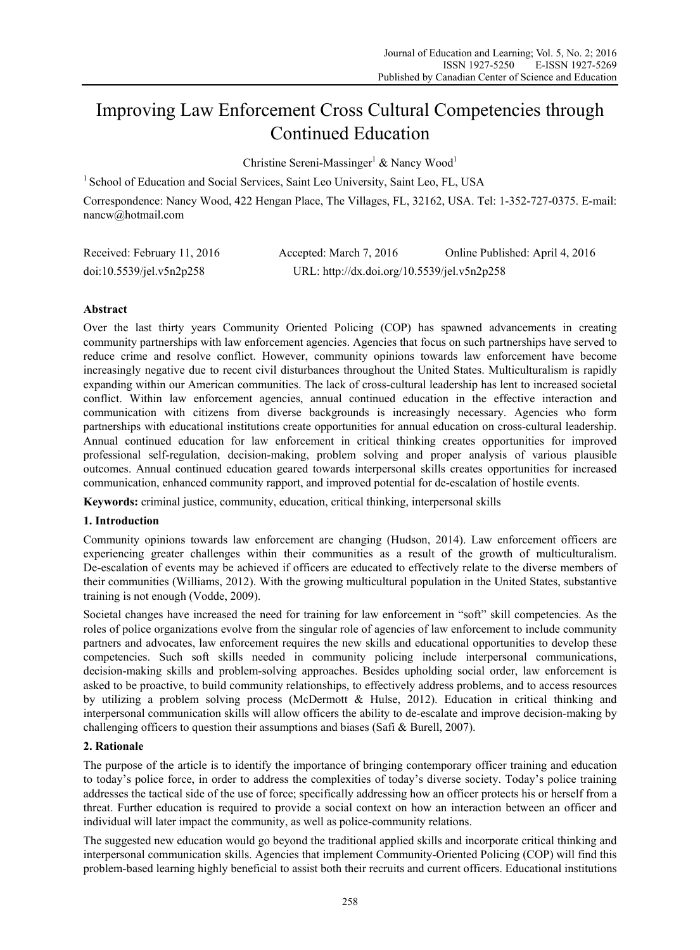# Improving Law Enforcement Cross Cultural Competencies through Continued Education

Christine Sereni-Massinger<sup>1</sup> & Nancy Wood<sup>1</sup>

<sup>1</sup> School of Education and Social Services, Saint Leo University, Saint Leo, FL, USA

Correspondence: Nancy Wood, 422 Hengan Place, The Villages, FL, 32162, USA. Tel: 1-352-727-0375. E-mail: nancw@hotmail.com

| Received: February 11, 2016 | Accepted: March 7, 2016                     | Online Published: April 4, 2016 |
|-----------------------------|---------------------------------------------|---------------------------------|
| doi:10.5539/jet.v5n2p258    | URL: http://dx.doi.org/10.5539/jel.v5n2p258 |                                 |

## **Abstract**

Over the last thirty years Community Oriented Policing (COP) has spawned advancements in creating community partnerships with law enforcement agencies. Agencies that focus on such partnerships have served to reduce crime and resolve conflict. However, community opinions towards law enforcement have become increasingly negative due to recent civil disturbances throughout the United States. Multiculturalism is rapidly expanding within our American communities. The lack of cross-cultural leadership has lent to increased societal conflict. Within law enforcement agencies, annual continued education in the effective interaction and communication with citizens from diverse backgrounds is increasingly necessary. Agencies who form partnerships with educational institutions create opportunities for annual education on cross-cultural leadership. Annual continued education for law enforcement in critical thinking creates opportunities for improved professional self-regulation, decision-making, problem solving and proper analysis of various plausible outcomes. Annual continued education geared towards interpersonal skills creates opportunities for increased communication, enhanced community rapport, and improved potential for de-escalation of hostile events.

**Keywords:** criminal justice, community, education, critical thinking, interpersonal skills

## **1. Introduction**

Community opinions towards law enforcement are changing (Hudson, 2014). Law enforcement officers are experiencing greater challenges within their communities as a result of the growth of multiculturalism. De-escalation of events may be achieved if officers are educated to effectively relate to the diverse members of their communities (Williams, 2012). With the growing multicultural population in the United States, substantive training is not enough (Vodde, 2009).

Societal changes have increased the need for training for law enforcement in "soft" skill competencies. As the roles of police organizations evolve from the singular role of agencies of law enforcement to include community partners and advocates, law enforcement requires the new skills and educational opportunities to develop these competencies. Such soft skills needed in community policing include interpersonal communications, decision-making skills and problem-solving approaches. Besides upholding social order, law enforcement is asked to be proactive, to build community relationships, to effectively address problems, and to access resources by utilizing a problem solving process (McDermott & Hulse, 2012). Education in critical thinking and interpersonal communication skills will allow officers the ability to de-escalate and improve decision-making by challenging officers to question their assumptions and biases (Safi & Burell, 2007).

## **2. Rationale**

The purpose of the article is to identify the importance of bringing contemporary officer training and education to today's police force, in order to address the complexities of today's diverse society. Today's police training addresses the tactical side of the use of force; specifically addressing how an officer protects his or herself from a threat. Further education is required to provide a social context on how an interaction between an officer and individual will later impact the community, as well as police-community relations.

The suggested new education would go beyond the traditional applied skills and incorporate critical thinking and interpersonal communication skills. Agencies that implement Community-Oriented Policing (COP) will find this problem-based learning highly beneficial to assist both their recruits and current officers. Educational institutions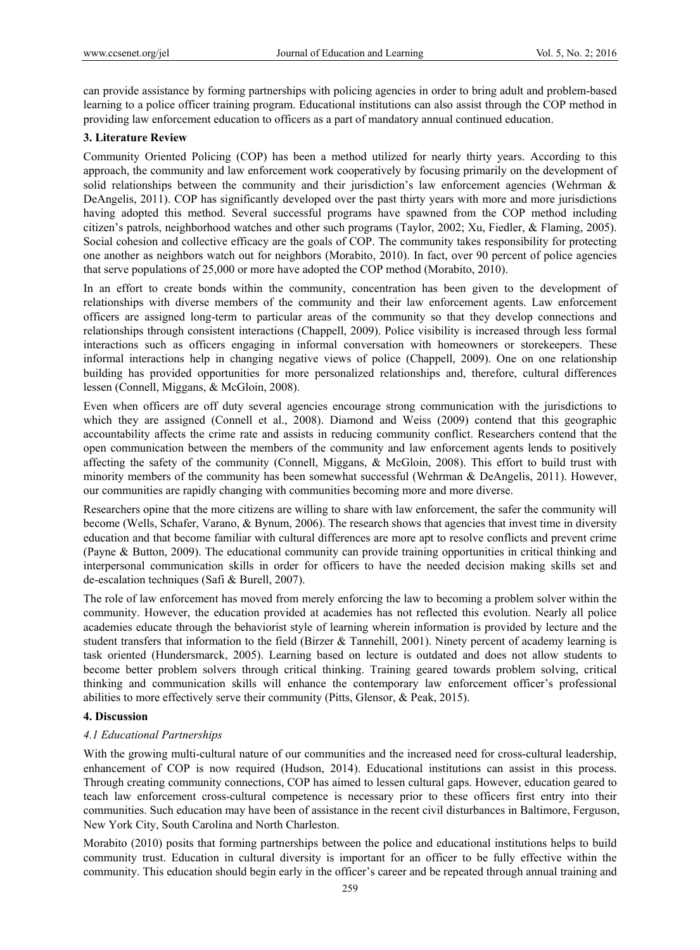can provide assistance by forming partnerships with policing agencies in order to bring adult and problem-based learning to a police officer training program. Educational institutions can also assist through the COP method in providing law enforcement education to officers as a part of mandatory annual continued education.

## **3. Literature Review**

Community Oriented Policing (COP) has been a method utilized for nearly thirty years. According to this approach, the community and law enforcement work cooperatively by focusing primarily on the development of solid relationships between the community and their jurisdiction's law enforcement agencies (Wehrman & DeAngelis, 2011). COP has significantly developed over the past thirty years with more and more jurisdictions having adopted this method. Several successful programs have spawned from the COP method including citizen's patrols, neighborhood watches and other such programs (Taylor, 2002; Xu, Fiedler, & Flaming, 2005). Social cohesion and collective efficacy are the goals of COP. The community takes responsibility for protecting one another as neighbors watch out for neighbors (Morabito, 2010). In fact, over 90 percent of police agencies that serve populations of 25,000 or more have adopted the COP method (Morabito, 2010).

In an effort to create bonds within the community, concentration has been given to the development of relationships with diverse members of the community and their law enforcement agents. Law enforcement officers are assigned long-term to particular areas of the community so that they develop connections and relationships through consistent interactions (Chappell, 2009). Police visibility is increased through less formal interactions such as officers engaging in informal conversation with homeowners or storekeepers. These informal interactions help in changing negative views of police (Chappell, 2009). One on one relationship building has provided opportunities for more personalized relationships and, therefore, cultural differences lessen (Connell, Miggans, & McGloin, 2008).

Even when officers are off duty several agencies encourage strong communication with the jurisdictions to which they are assigned (Connell et al., 2008). Diamond and Weiss (2009) contend that this geographic accountability affects the crime rate and assists in reducing community conflict. Researchers contend that the open communication between the members of the community and law enforcement agents lends to positively affecting the safety of the community (Connell, Miggans, & McGloin, 2008). This effort to build trust with minority members of the community has been somewhat successful (Wehrman & DeAngelis, 2011). However, our communities are rapidly changing with communities becoming more and more diverse.

Researchers opine that the more citizens are willing to share with law enforcement, the safer the community will become (Wells, Schafer, Varano, & Bynum, 2006). The research shows that agencies that invest time in diversity education and that become familiar with cultural differences are more apt to resolve conflicts and prevent crime (Payne & Button, 2009). The educational community can provide training opportunities in critical thinking and interpersonal communication skills in order for officers to have the needed decision making skills set and de-escalation techniques (Safi & Burell, 2007).

The role of law enforcement has moved from merely enforcing the law to becoming a problem solver within the community. However, the education provided at academies has not reflected this evolution. Nearly all police academies educate through the behaviorist style of learning wherein information is provided by lecture and the student transfers that information to the field (Birzer & Tannehill, 2001). Ninety percent of academy learning is task oriented (Hundersmarck, 2005). Learning based on lecture is outdated and does not allow students to become better problem solvers through critical thinking. Training geared towards problem solving, critical thinking and communication skills will enhance the contemporary law enforcement officer's professional abilities to more effectively serve their community (Pitts, Glensor, & Peak, 2015).

## **4. Discussion**

## *4.1 Educational Partnerships*

With the growing multi-cultural nature of our communities and the increased need for cross-cultural leadership, enhancement of COP is now required (Hudson, 2014). Educational institutions can assist in this process. Through creating community connections, COP has aimed to lessen cultural gaps. However, education geared to teach law enforcement cross-cultural competence is necessary prior to these officers first entry into their communities. Such education may have been of assistance in the recent civil disturbances in Baltimore, Ferguson, New York City, South Carolina and North Charleston.

Morabito (2010) posits that forming partnerships between the police and educational institutions helps to build community trust. Education in cultural diversity is important for an officer to be fully effective within the community. This education should begin early in the officer's career and be repeated through annual training and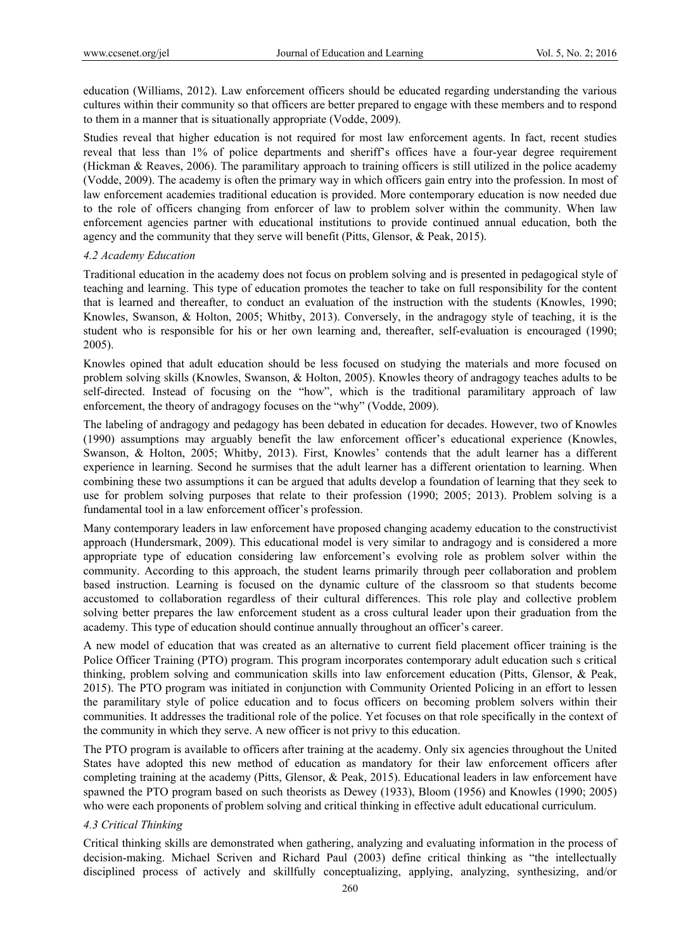education (Williams, 2012). Law enforcement officers should be educated regarding understanding the various cultures within their community so that officers are better prepared to engage with these members and to respond to them in a manner that is situationally appropriate (Vodde, 2009).

Studies reveal that higher education is not required for most law enforcement agents. In fact, recent studies reveal that less than 1% of police departments and sheriff's offices have a four-year degree requirement (Hickman & Reaves, 2006). The paramilitary approach to training officers is still utilized in the police academy (Vodde, 2009). The academy is often the primary way in which officers gain entry into the profession. In most of law enforcement academies traditional education is provided. More contemporary education is now needed due to the role of officers changing from enforcer of law to problem solver within the community. When law enforcement agencies partner with educational institutions to provide continued annual education, both the agency and the community that they serve will benefit (Pitts, Glensor, & Peak, 2015).

#### *4.2 Academy Education*

Traditional education in the academy does not focus on problem solving and is presented in pedagogical style of teaching and learning. This type of education promotes the teacher to take on full responsibility for the content that is learned and thereafter, to conduct an evaluation of the instruction with the students (Knowles, 1990; Knowles, Swanson, & Holton, 2005; Whitby, 2013). Conversely, in the andragogy style of teaching, it is the student who is responsible for his or her own learning and, thereafter, self-evaluation is encouraged (1990; 2005).

Knowles opined that adult education should be less focused on studying the materials and more focused on problem solving skills (Knowles, Swanson, & Holton, 2005). Knowles theory of andragogy teaches adults to be self-directed. Instead of focusing on the "how", which is the traditional paramilitary approach of law enforcement, the theory of andragogy focuses on the "why" (Vodde, 2009).

The labeling of andragogy and pedagogy has been debated in education for decades. However, two of Knowles (1990) assumptions may arguably benefit the law enforcement officer's educational experience (Knowles, Swanson, & Holton, 2005; Whitby, 2013). First, Knowles' contends that the adult learner has a different experience in learning. Second he surmises that the adult learner has a different orientation to learning. When combining these two assumptions it can be argued that adults develop a foundation of learning that they seek to use for problem solving purposes that relate to their profession (1990; 2005; 2013). Problem solving is a fundamental tool in a law enforcement officer's profession.

Many contemporary leaders in law enforcement have proposed changing academy education to the constructivist approach (Hundersmark, 2009). This educational model is very similar to andragogy and is considered a more appropriate type of education considering law enforcement's evolving role as problem solver within the community. According to this approach, the student learns primarily through peer collaboration and problem based instruction. Learning is focused on the dynamic culture of the classroom so that students become accustomed to collaboration regardless of their cultural differences. This role play and collective problem solving better prepares the law enforcement student as a cross cultural leader upon their graduation from the academy. This type of education should continue annually throughout an officer's career.

A new model of education that was created as an alternative to current field placement officer training is the Police Officer Training (PTO) program. This program incorporates contemporary adult education such s critical thinking, problem solving and communication skills into law enforcement education (Pitts, Glensor, & Peak, 2015). The PTO program was initiated in conjunction with Community Oriented Policing in an effort to lessen the paramilitary style of police education and to focus officers on becoming problem solvers within their communities. It addresses the traditional role of the police. Yet focuses on that role specifically in the context of the community in which they serve. A new officer is not privy to this education.

The PTO program is available to officers after training at the academy. Only six agencies throughout the United States have adopted this new method of education as mandatory for their law enforcement officers after completing training at the academy (Pitts, Glensor, & Peak, 2015). Educational leaders in law enforcement have spawned the PTO program based on such theorists as Dewey (1933), Bloom (1956) and Knowles (1990; 2005) who were each proponents of problem solving and critical thinking in effective adult educational curriculum.

### *4.3 Critical Thinking*

Critical thinking skills are demonstrated when gathering, analyzing and evaluating information in the process of decision-making. Michael Scriven and Richard Paul (2003) define critical thinking as "the intellectually disciplined process of actively and skillfully conceptualizing, applying, analyzing, synthesizing, and/or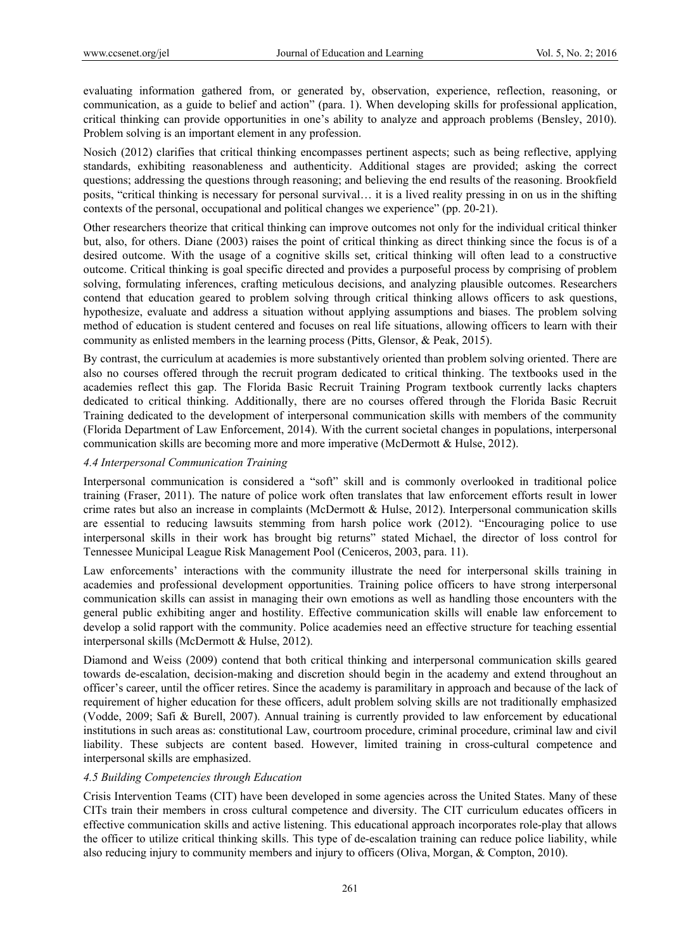evaluating information gathered from, or generated by, observation, experience, reflection, reasoning, or communication, as a guide to belief and action" (para. 1). When developing skills for professional application, critical thinking can provide opportunities in one's ability to analyze and approach problems (Bensley, 2010). Problem solving is an important element in any profession.

Nosich (2012) clarifies that critical thinking encompasses pertinent aspects; such as being reflective, applying standards, exhibiting reasonableness and authenticity. Additional stages are provided; asking the correct questions; addressing the questions through reasoning; and believing the end results of the reasoning. Brookfield posits, "critical thinking is necessary for personal survival… it is a lived reality pressing in on us in the shifting contexts of the personal, occupational and political changes we experience" (pp. 20-21).

Other researchers theorize that critical thinking can improve outcomes not only for the individual critical thinker but, also, for others. Diane (2003) raises the point of critical thinking as direct thinking since the focus is of a desired outcome. With the usage of a cognitive skills set, critical thinking will often lead to a constructive outcome. Critical thinking is goal specific directed and provides a purposeful process by comprising of problem solving, formulating inferences, crafting meticulous decisions, and analyzing plausible outcomes. Researchers contend that education geared to problem solving through critical thinking allows officers to ask questions, hypothesize, evaluate and address a situation without applying assumptions and biases. The problem solving method of education is student centered and focuses on real life situations, allowing officers to learn with their community as enlisted members in the learning process (Pitts, Glensor, & Peak, 2015).

By contrast, the curriculum at academies is more substantively oriented than problem solving oriented. There are also no courses offered through the recruit program dedicated to critical thinking. The textbooks used in the academies reflect this gap. The Florida Basic Recruit Training Program textbook currently lacks chapters dedicated to critical thinking. Additionally, there are no courses offered through the Florida Basic Recruit Training dedicated to the development of interpersonal communication skills with members of the community (Florida Department of Law Enforcement, 2014). With the current societal changes in populations, interpersonal communication skills are becoming more and more imperative (McDermott & Hulse, 2012).

### *4.4 Interpersonal Communication Training*

Interpersonal communication is considered a "soft" skill and is commonly overlooked in traditional police training (Fraser, 2011). The nature of police work often translates that law enforcement efforts result in lower crime rates but also an increase in complaints (McDermott & Hulse, 2012). Interpersonal communication skills are essential to reducing lawsuits stemming from harsh police work (2012). "Encouraging police to use interpersonal skills in their work has brought big returns" stated Michael, the director of loss control for Tennessee Municipal League Risk Management Pool (Ceniceros, 2003, para. 11).

Law enforcements' interactions with the community illustrate the need for interpersonal skills training in academies and professional development opportunities. Training police officers to have strong interpersonal communication skills can assist in managing their own emotions as well as handling those encounters with the general public exhibiting anger and hostility. Effective communication skills will enable law enforcement to develop a solid rapport with the community. Police academies need an effective structure for teaching essential interpersonal skills (McDermott & Hulse, 2012).

Diamond and Weiss (2009) contend that both critical thinking and interpersonal communication skills geared towards de-escalation, decision-making and discretion should begin in the academy and extend throughout an officer's career, until the officer retires. Since the academy is paramilitary in approach and because of the lack of requirement of higher education for these officers, adult problem solving skills are not traditionally emphasized (Vodde, 2009; Safi & Burell, 2007). Annual training is currently provided to law enforcement by educational institutions in such areas as: constitutional Law, courtroom procedure, criminal procedure, criminal law and civil liability. These subjects are content based. However, limited training in cross-cultural competence and interpersonal skills are emphasized.

### *4.5 Building Competencies through Education*

Crisis Intervention Teams (CIT) have been developed in some agencies across the United States. Many of these CITs train their members in cross cultural competence and diversity. The CIT curriculum educates officers in effective communication skills and active listening. This educational approach incorporates role-play that allows the officer to utilize critical thinking skills. This type of de-escalation training can reduce police liability, while also reducing injury to community members and injury to officers (Oliva, Morgan, & Compton, 2010).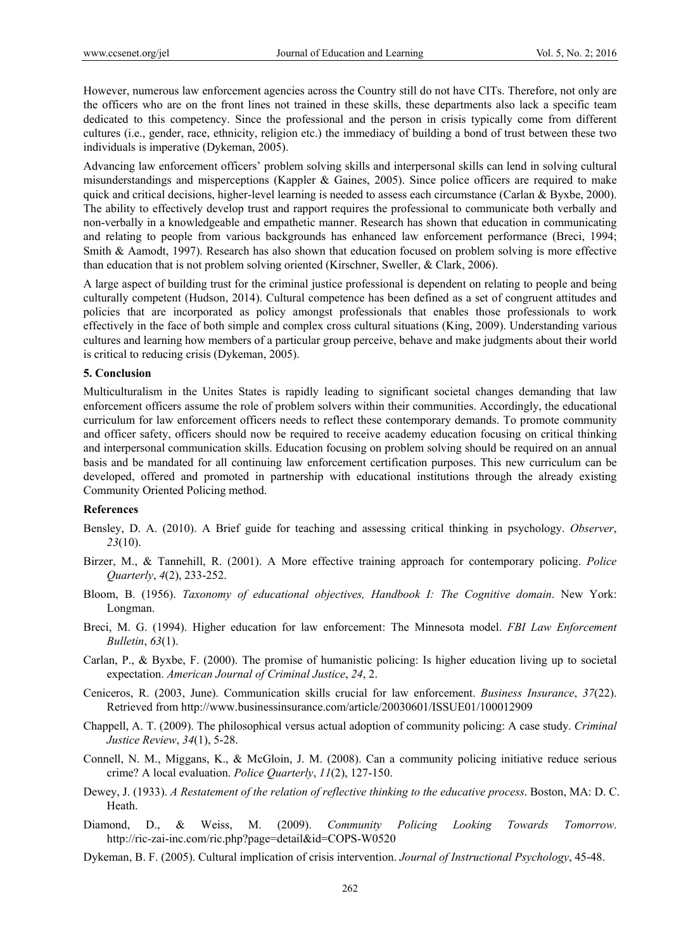However, numerous law enforcement agencies across the Country still do not have CITs. Therefore, not only are the officers who are on the front lines not trained in these skills, these departments also lack a specific team dedicated to this competency. Since the professional and the person in crisis typically come from different cultures (i.e., gender, race, ethnicity, religion etc.) the immediacy of building a bond of trust between these two individuals is imperative (Dykeman, 2005).

Advancing law enforcement officers' problem solving skills and interpersonal skills can lend in solving cultural misunderstandings and misperceptions (Kappler & Gaines, 2005). Since police officers are required to make quick and critical decisions, higher-level learning is needed to assess each circumstance (Carlan & Byxbe, 2000). The ability to effectively develop trust and rapport requires the professional to communicate both verbally and non-verbally in a knowledgeable and empathetic manner. Research has shown that education in communicating and relating to people from various backgrounds has enhanced law enforcement performance (Breci, 1994; Smith & Aamodt, 1997). Research has also shown that education focused on problem solving is more effective than education that is not problem solving oriented (Kirschner, Sweller, & Clark, 2006).

A large aspect of building trust for the criminal justice professional is dependent on relating to people and being culturally competent (Hudson, 2014). Cultural competence has been defined as a set of congruent attitudes and policies that are incorporated as policy amongst professionals that enables those professionals to work effectively in the face of both simple and complex cross cultural situations (King, 2009). Understanding various cultures and learning how members of a particular group perceive, behave and make judgments about their world is critical to reducing crisis (Dykeman, 2005).

### **5. Conclusion**

Multiculturalism in the Unites States is rapidly leading to significant societal changes demanding that law enforcement officers assume the role of problem solvers within their communities. Accordingly, the educational curriculum for law enforcement officers needs to reflect these contemporary demands. To promote community and officer safety, officers should now be required to receive academy education focusing on critical thinking and interpersonal communication skills. Education focusing on problem solving should be required on an annual basis and be mandated for all continuing law enforcement certification purposes. This new curriculum can be developed, offered and promoted in partnership with educational institutions through the already existing Community Oriented Policing method.

#### **References**

- Bensley, D. A. (2010). A Brief guide for teaching and assessing critical thinking in psychology. *Observer*, *23*(10).
- Birzer, M., & Tannehill, R. (2001). A More effective training approach for contemporary policing. *Police Quarterly*, *4*(2), 233-252.
- Bloom, B. (1956). *Taxonomy of educational objectives, Handbook I: The Cognitive domain*. New York: Longman.
- Breci, M. G. (1994). Higher education for law enforcement: The Minnesota model. *FBI Law Enforcement Bulletin*, *63*(1).
- Carlan, P., & Byxbe, F. (2000). The promise of humanistic policing: Is higher education living up to societal expectation. *American Journal of Criminal Justice*, *24*, 2.
- Ceniceros, R. (2003, June). Communication skills crucial for law enforcement. *Business Insurance*, *37*(22). Retrieved from http://www.businessinsurance.com/article/20030601/ISSUE01/100012909
- Chappell, A. T. (2009). The philosophical versus actual adoption of community policing: A case study. *Criminal Justice Review*, *34*(1), 5-28.
- Connell, N. M., Miggans, K., & McGloin, J. M. (2008). Can a community policing initiative reduce serious crime? A local evaluation. *Police Quarterly*, *11*(2), 127-150.
- Dewey, J. (1933). *A Restatement of the relation of reflective thinking to the educative process*. Boston, MA: D. C. Heath.
- Diamond, D., & Weiss, M. (2009). *Community Policing Looking Towards Tomorrow*. http://ric-zai-inc.com/ric.php?page=detail&id=COPS-W0520
- Dykeman, B. F. (2005). Cultural implication of crisis intervention. *Journal of Instructional Psychology*, 45-48.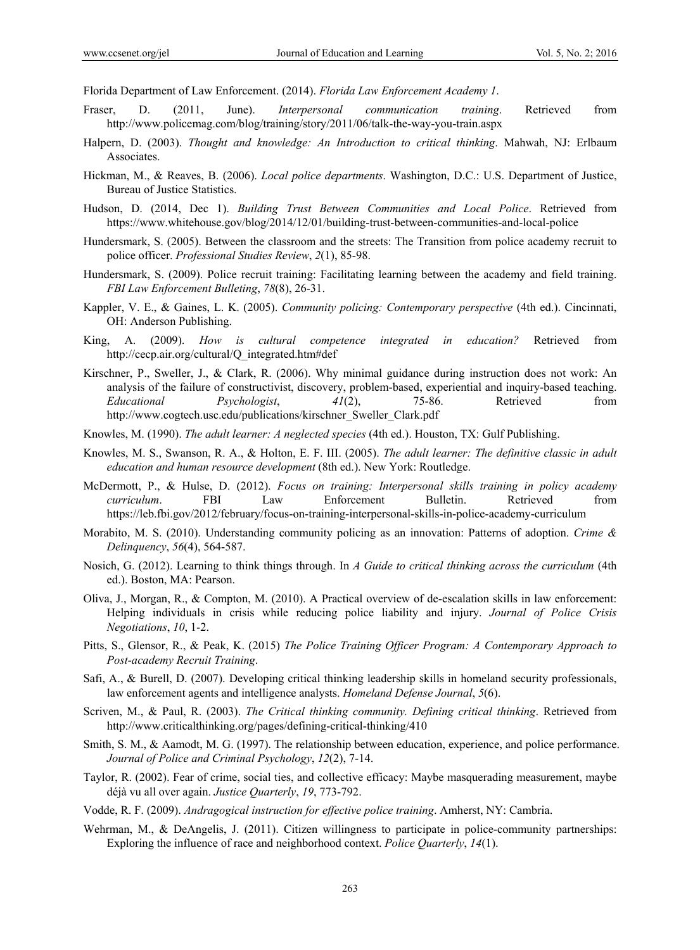Florida Department of Law Enforcement. (2014). *Florida Law Enforcement Academy 1*.

- Fraser, D. (2011, June). *Interpersonal communication training*. Retrieved from http://www.policemag.com/blog/training/story/2011/06/talk-the-way-you-train.aspx
- Halpern, D. (2003). *Thought and knowledge: An Introduction to critical thinking*. Mahwah, NJ: Erlbaum Associates.
- Hickman, M., & Reaves, B. (2006). *Local police departments*. Washington, D.C.: U.S. Department of Justice, Bureau of Justice Statistics.
- Hudson, D. (2014, Dec 1). *Building Trust Between Communities and Local Police*. Retrieved from https://www.whitehouse.gov/blog/2014/12/01/building-trust-between-communities-and-local-police
- Hundersmark, S. (2005). Between the classroom and the streets: The Transition from police academy recruit to police officer. *Professional Studies Review*, *2*(1), 85-98.
- Hundersmark, S. (2009). Police recruit training: Facilitating learning between the academy and field training. *FBI Law Enforcement Bulleting*, *78*(8), 26-31.
- Kappler, V. E., & Gaines, L. K. (2005). *Community policing: Contemporary perspective* (4th ed.). Cincinnati, OH: Anderson Publishing.
- King, A. (2009). *How is cultural competence integrated in education?* Retrieved from http://cecp.air.org/cultural/Q\_integrated.htm#def
- Kirschner, P., Sweller, J., & Clark, R. (2006). Why minimal guidance during instruction does not work: An analysis of the failure of constructivist, discovery, problem-based, experiential and inquiry-based teaching. *Educational Psychologist*, *41*(2), 75-86. Retrieved from http://www.cogtech.usc.edu/publications/kirschner\_Sweller\_Clark.pdf
- Knowles, M. (1990). *The adult learner: A neglected species* (4th ed.). Houston, TX: Gulf Publishing.
- Knowles, M. S., Swanson, R. A., & Holton, E. F. III. (2005). *The adult learner: The definitive classic in adult education and human resource development* (8th ed.). New York: Routledge.
- McDermott, P., & Hulse, D. (2012). *Focus on training: Interpersonal skills training in policy academy curriculum*. FBI Law Enforcement Bulletin. Retrieved from https://leb.fbi.gov/2012/february/focus-on-training-interpersonal-skills-in-police-academy-curriculum
- Morabito, M. S. (2010). Understanding community policing as an innovation: Patterns of adoption. *Crime & Delinquency*, *56*(4), 564-587.
- Nosich, G. (2012). Learning to think things through. In *A Guide to critical thinking across the curriculum* (4th ed.). Boston, MA: Pearson.
- Oliva, J., Morgan, R., & Compton, M. (2010). A Practical overview of de-escalation skills in law enforcement: Helping individuals in crisis while reducing police liability and injury. *Journal of Police Crisis Negotiations*, *10*, 1-2.
- Pitts, S., Glensor, R., & Peak, K. (2015) *The Police Training Officer Program: A Contemporary Approach to Post-academy Recruit Training*.
- Safi, A., & Burell, D. (2007). Developing critical thinking leadership skills in homeland security professionals, law enforcement agents and intelligence analysts. *Homeland Defense Journal*, *5*(6).
- Scriven, M., & Paul, R. (2003). *The Critical thinking community. Defining critical thinking*. Retrieved from http://www.criticalthinking.org/pages/defining-critical-thinking/410
- Smith, S. M., & Aamodt, M. G. (1997). The relationship between education, experience, and police performance. *Journal of Police and Criminal Psychology*, *12*(2), 7-14.
- Taylor, R. (2002). Fear of crime, social ties, and collective efficacy: Maybe masquerading measurement, maybe déjà vu all over again. *Justice Quarterly*, *19*, 773-792.
- Vodde, R. F. (2009). *Andragogical instruction for effective police training*. Amherst, NY: Cambria.
- Wehrman, M., & DeAngelis, J. (2011). Citizen willingness to participate in police-community partnerships: Exploring the influence of race and neighborhood context. *Police Quarterly*, *14*(1).